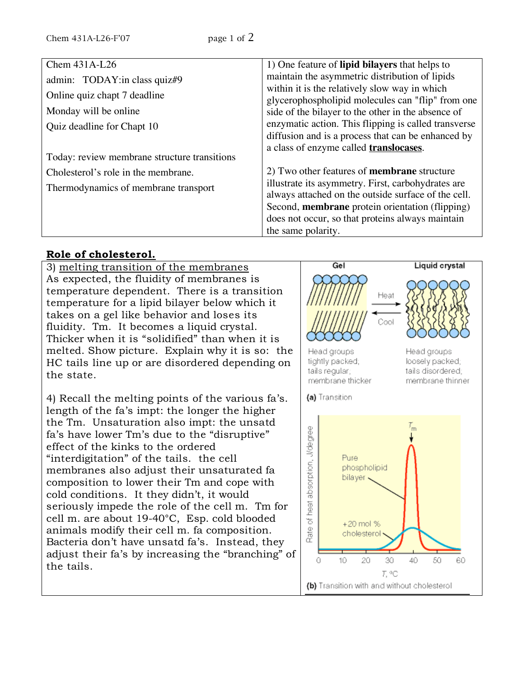| Chem 431A-L26                                | 1) One feature of <b>lipid bilayers</b> that helps to                                              |
|----------------------------------------------|----------------------------------------------------------------------------------------------------|
| admin: TODAY: in class quiz#9                | maintain the asymmetric distribution of lipids                                                     |
| Online quiz chapt 7 deadline                 | within it is the relatively slow way in which<br>glycerophospholipid molecules can "flip" from one |
| Monday will be online                        | side of the bilayer to the other in the absence of                                                 |
| Quiz deadline for Chapt 10                   | enzymatic action. This flipping is called transverse                                               |
|                                              | diffusion and is a process that can be enhanced by                                                 |
| Today: review membrane structure transitions | a class of enzyme called <b>translocases</b> .                                                     |
| Cholesterol's role in the membrane.          | 2) Two other features of <b>membrane</b> structure                                                 |
| Thermodynamics of membrane transport         | illustrate its asymmetry. First, carbohydrates are                                                 |
|                                              | always attached on the outside surface of the cell.                                                |
|                                              | Second, membrane protein orientation (flipping)                                                    |
|                                              | does not occur, so that proteins always maintain                                                   |
|                                              | the same polarity.                                                                                 |

## **Role of cholesterol.**

3) melting transition of the membranes As expected, the fluidity of membranes is temperature dependent. There is a transition temperature for a lipid bilayer below which it takes on a gel like behavior and loses its fluidity. Tm. It becomes a liquid crystal. Thicker when it is "solidified" than when it is melted. Show picture. Explain why it is so: the HC tails line up or are disordered depending on the state.

4) Recall the melting points of the various fa's. length of the fa's impt: the longer the higher the Tm. Unsaturation also impt: the unsatd fa's have lower Tm's due to the "disruptive" effect of the kinks to the ordered "interdigitation" of the tails. the cell membranes also adjust their unsaturated fa composition to lower their Tm and cope with cold conditions. It they didn't, it would seriously impede the role of the cell m. Tm for cell m. are about 19-40°C, Esp. cold blooded animals modify their cell m. fa composition. Bacteria don't have unsatd fa's. Instead, they adjust their fa's by increasing the "branching" of the tails.